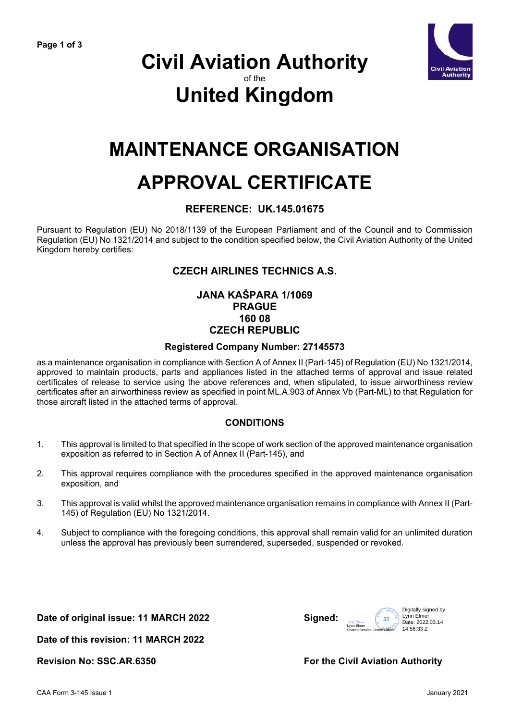

### **Civil Aviation Authority** of the **United Kingdom**

## **MAINTENANCE ORGANISATION**

# **APPROVAL CERTIFICATE**

#### **REFERENCE: UK.145.01675**

Pursuant to Regulation (EU) No 2018/1139 of the European Parliament and of the Council and to Commission Regulation (EU) No 1321/2014 and subject to the condition specified below, the Civil Aviation Authority of the United Kingdom hereby certifies:

#### **CZECH AIRLINES TECHNICS A.S.**

#### **JANA KAŠPARA 1/1069 PRAGUE 160 08 CZECH REPUBLIC**

#### **Registered Company Number: 27145573**

as a maintenance organisation in compliance with Section A of Annex II (Part-145) of Regulation (EU) No 1321/2014, approved to maintain products, parts and appliances listed in the attached terms of approval and issue related certificates of release to service using the above references and, when stipulated, to issue airworthiness review certificates after an airworthiness review as specified in point ML.A.903 of Annex Vb (Part-ML) to that Regulation for those aircraft listed in the attached terms of approval.

#### **CONDITIONS**

- 1. This approval is limited to that specified in the scope of work section of the approved maintenance organisation exposition as referred to in Section A of Annex II (Part-145), and
- 2. This approval requires compliance with the procedures specified in the approved maintenance organisation exposition, and
- 3. This approval is valid whilst the approved maintenance organisation remains in compliance with Annex II (Part-145) of Regulation (EU) No 1321/2014.
- 4. Subject to compliance with the foregoing conditions, this approval shall remain valid for an unlimited duration unless the approval has previously been surrendered, superseded, suspended or revoked.

**Date of original issue: 11 MARCH 2022 Signed:**



**Date of this revision: 11 MARCH 2022** 

#### **Revision No: SSC.AR.6350 For the Civil Aviation Authority**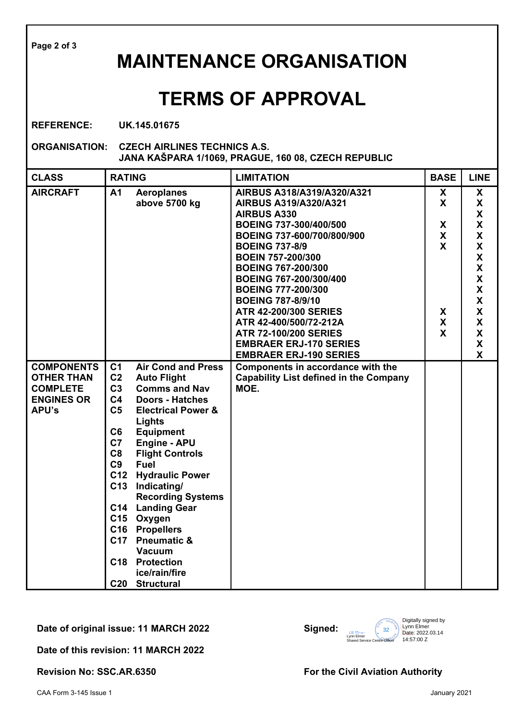**Page 2 of 3**

### **MAINTENANCE ORGANISATION**

### **TERMS OF APPROVAL**

**REFERENCE: UK.145.01675**

**ORGANISATION: CZECH AIRLINES TECHNICS A.S. JANA KAŠPARA 1/1069, PRAGUE, 160 08, CZECH REPUBLIC** 

| <b>CLASS</b>                                                                                   | <b>RATING</b>                                                                                                                            |                                                                                                                                                                                                                                                                                                                                                                                                                                                    | <b>LIMITATION</b>                                                                                                                                                                                                                                                                                                                                                                                                                                                  | <b>BASE</b>                                                | <b>LINE</b>                                                                                                                                                                                                                                                                                             |
|------------------------------------------------------------------------------------------------|------------------------------------------------------------------------------------------------------------------------------------------|----------------------------------------------------------------------------------------------------------------------------------------------------------------------------------------------------------------------------------------------------------------------------------------------------------------------------------------------------------------------------------------------------------------------------------------------------|--------------------------------------------------------------------------------------------------------------------------------------------------------------------------------------------------------------------------------------------------------------------------------------------------------------------------------------------------------------------------------------------------------------------------------------------------------------------|------------------------------------------------------------|---------------------------------------------------------------------------------------------------------------------------------------------------------------------------------------------------------------------------------------------------------------------------------------------------------|
| <b>AIRCRAFT</b>                                                                                | A1                                                                                                                                       | <b>Aeroplanes</b><br>above 5700 kg                                                                                                                                                                                                                                                                                                                                                                                                                 | AIRBUS A318/A319/A320/A321<br>AIRBUS A319/A320/A321<br><b>AIRBUS A330</b><br>BOEING 737-300/400/500<br>BOEING 737-600/700/800/900<br><b>BOEING 737-8/9</b><br><b>BOEIN 757-200/300</b><br><b>BOEING 767-200/300</b><br>BOEING 767-200/300/400<br><b>BOEING 777-200/300</b><br><b>BOEING 787-8/9/10</b><br><b>ATR 42-200/300 SERIES</b><br>ATR 42-400/500/72-212A<br><b>ATR 72-100/200 SERIES</b><br><b>EMBRAER ERJ-170 SERIES</b><br><b>EMBRAER ERJ-190 SERIES</b> | X<br>X<br>X<br>X<br>$\mathbf{x}$<br>X<br>X<br>$\mathsf{X}$ | X<br>X<br>X<br>$\boldsymbol{\mathsf{X}}$<br>$\boldsymbol{\mathsf{X}}$<br>$\boldsymbol{\mathsf{X}}$<br>$\boldsymbol{\mathsf{X}}$<br>$\boldsymbol{\mathsf{X}}$<br>$\pmb{\mathsf{X}}$<br>$\boldsymbol{\mathsf{X}}$<br>$\pmb{\mathsf{X}}$<br>X<br>X<br>$\boldsymbol{\mathsf{X}}$<br>$\pmb{\mathsf{X}}$<br>X |
| <b>COMPONENTS</b><br><b>OTHER THAN</b><br><b>COMPLETE</b><br><b>ENGINES OR</b><br><b>APU's</b> | C <sub>1</sub><br>C <sub>2</sub><br>C <sub>3</sub><br>C <sub>4</sub><br>C <sub>5</sub><br>C6<br>C7<br>C8<br>C <sub>9</sub><br>C12<br>C13 | <b>Air Cond and Press</b><br><b>Auto Flight</b><br><b>Comms and Nav</b><br><b>Doors - Hatches</b><br><b>Electrical Power &amp;</b><br>Lights<br><b>Equipment</b><br><b>Engine - APU</b><br><b>Flight Controls</b><br><b>Fuel</b><br><b>Hydraulic Power</b><br>Indicating/<br><b>Recording Systems</b><br>C14 Landing Gear<br>C15 Oxygen<br>C16 Propellers<br>C17 Pneumatic &<br><b>Vacuum</b><br>C18 Protection<br>ice/rain/fire<br>C20 Structural | Components in accordance with the<br><b>Capability List defined in the Company</b><br>MOE.                                                                                                                                                                                                                                                                                                                                                                         |                                                            |                                                                                                                                                                                                                                                                                                         |

**Date of original issue: 11 MARCH 2022 Signed:**



**Date of this revision: 11 MARCH 2022** 

**Revision No: SSC.AR.6350 For the Civil Aviation Authority**